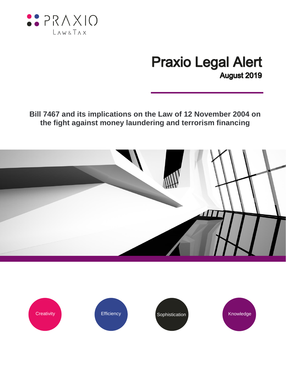

## **Praxio Legal Alert** August 2019

**Bill 7467 and its implications on the Law of 12 November 2004 on the fight against money laundering and terrorism financing** 



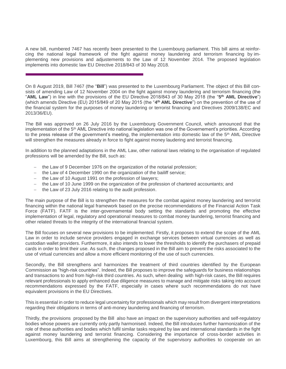A new bill, numbered 7467 has recently been presented to the Luxembourg parliament. This bill aims at reinforcing the national legal framework of the fight against money laundering and terrorism financing by implementing new provisions and adjustements to the Law of 12 November 2014. The proposed legislation implements into domestic law EU Directive 2018/843 of 30 May 2018.

On 8 August 2019, Bill 7467 (the "**Bill**") was presented to the Luxembourg Parliament. The object of this Bill consists of amending Law of 12 November 2004 on the fight against money laundering and terrorism financing (the "**AML Law**") in line with the provisions of the EU Directive 2018/843 of 30 May 2018 (the "**5 th AML Directive**") (which amends Directive (EU) 2015/849 of 20 May 2015 (the "**4 th AML Directive**") on the prevention of the use of the financial system for the purposes of money laundering or terrorist financing and Directives 2009/138/EC and 2013/36/EU).

The Bill was approved on 26 July 2016 by the Luxembourg Government Council, which announced that the implementation of the 5<sup>th</sup> AML Directive into national legislation was one of the Governement's priorities. According to the press release of the government's meeting, the implementation into domestic law of the 5<sup>th</sup> AML Directive will strengthen the measures already in force to fight against money laudering and terrorist financing.

In addition to the planned adaptations in the AML Law, other national laws relating to the organisation of regulated professions will be amended by the Bill, such as:

- the Law of 9 December 1976 on the organization of the notarial profession;
- the Law of 4 December 1990 on the organization of the bailiff service;
- $-$  the Law of 10 August 1991 on the profession of lawyers;
- the Law of 10 June 1999 on the organization of the profession of chartered accountants; and
- the Law of 23 July 2016 relating to the audit profession.

The main purpose of the Bill is to strengthen the measures for the combat against money laundering and terrorist financing within the national legal framework based on the precise recommendations of the Financial Action Task Force (FATF). FATF is the inter-governamental body setting the standards and promoting the effective implementation of legal, regulatory and operational measures to combat money laundering, terrorist financing and other related threats to the integrity of the international financial system.

The Bill focuses on several new provisions to be implemented. Firstly, it proposes to extend the scope of the AML Law in order to include service providers engaged in exchange services between virtual currencies as well as custodian wallet providers. Furthermore, it also intends to lower the thresholds to identify the purchasers of prepaid cards in order to limit their use. As such, the changes proposed in the Bill aim to prevent the risks associated to the use of virtual currencies and allow a more efficient monitoring of the use of such currencies.

Secondly, the Bill strengthens and harmonizes the treatment of third countries identified by the European Commission as "high-risk countries". Indeed, the Bill proposes to improve the safeguards for business relationships and transactions to and from high-risk third countries. As such, when dealing with high-risk cases, the Bill requires relevant professionals to apply enhanced due diligence measures to manage and mitigate risks taking into account recommendations expressed by the FATF, especially in cases where such recommendations do not have equivalent provisions in the EU Directives.

This is essential in order to reduce legal uncertainty for professionals which may result from divergent interpretations regarding their obligations in terms of anti-money laundering and financing of terrorism.

Thirdly, the provisions proposed by the Bill also have an impact on the supervisory authorities and self-regulatory bodies whose powers are currently only partly harmonised. Indeed, the Bill introduces further harmonization of the role of these authorities and bodies which fulfil similar tasks required by law and international standards in the fight against money laundering and terrorist financing. Considering the importance of cross-border activities in Luxembourg, this Bill aims at strengthening the capacity of the supervisory authorities to cooperate on an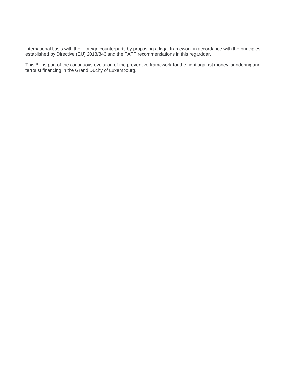international basis with their foreign counterparts by proposing a legal framework in accordance with the principles established by Directive (EU) 2018/843 and the FATF recommendations in this regarddar.

This Bill is part of the continuous evolution of the preventive framework for the fight against money laundering and terrorist financing in the Grand Duchy of Luxembourg.